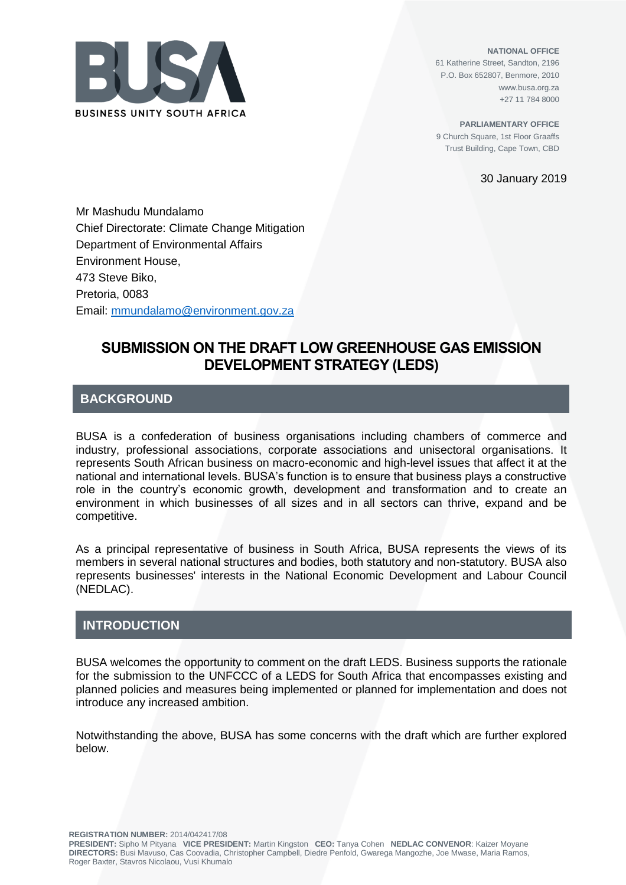

**NATIONAL OFFICE** 61 Katherine Street, Sandton, 2196 P.O. Box 652807, Benmore, 2010 www.busa.org.za +27 11 784 8000

**PARLIAMENTARY OFFICE** 9 Church Square, 1st Floor Graaffs Trust Building, Cape Town, CBD

30 January 2019

Mr Mashudu Mundalamo Chief Directorate: Climate Change Mitigation Department of Environmental Affairs Environment House, 473 Steve Biko, Pretoria, 0083 Email: mmundalamo@environment.gov.za

# **SUBMISSION ON THE DRAFT LOW GREENHOUSE GAS EMISSION DEVELOPMENT STRATEGY (LEDS)**

## **BACKGROUND**

BUSA is a confederation of business organisations including chambers of commerce and industry, professional associations, corporate associations and unisectoral organisations. It represents South African business on macro-economic and high-level issues that affect it at the national and international levels. BUSA's function is to ensure that business plays a constructive role in the country's economic growth, development and transformation and to create an environment in which businesses of all sizes and in all sectors can thrive, expand and be competitive.

As a principal representative of business in South Africa, BUSA represents the views of its members in several national structures and bodies, both statutory and non-statutory. BUSA also represents businesses' interests in the National Economic Development and Labour Council (NEDLAC).

## **INTRODUCTION**

BUSA welcomes the opportunity to comment on the draft LEDS. Business supports the rationale for the submission to the UNFCCC of a LEDS for South Africa that encompasses existing and planned policies and measures being implemented or planned for implementation and does not introduce any increased ambition.

Notwithstanding the above, BUSA has some concerns with the draft which are further explored below.

**REGISTRATION NUMBER:** 2014/042417/08

**PRESIDENT:** Sipho M Pityana **VICE PRESIDENT:** Martin Kingston **CEO:** Tanya Cohen **NEDLAC CONVENOR**: Kaizer Moyane **DIRECTORS:** Busi Mavuso, Cas Coovadia, Christopher Campbell, Diedre Penfold, Gwarega Mangozhe, Joe Mwase, Maria Ramos, Roger Baxter, Stavros Nicolaou, Vusi Khumalo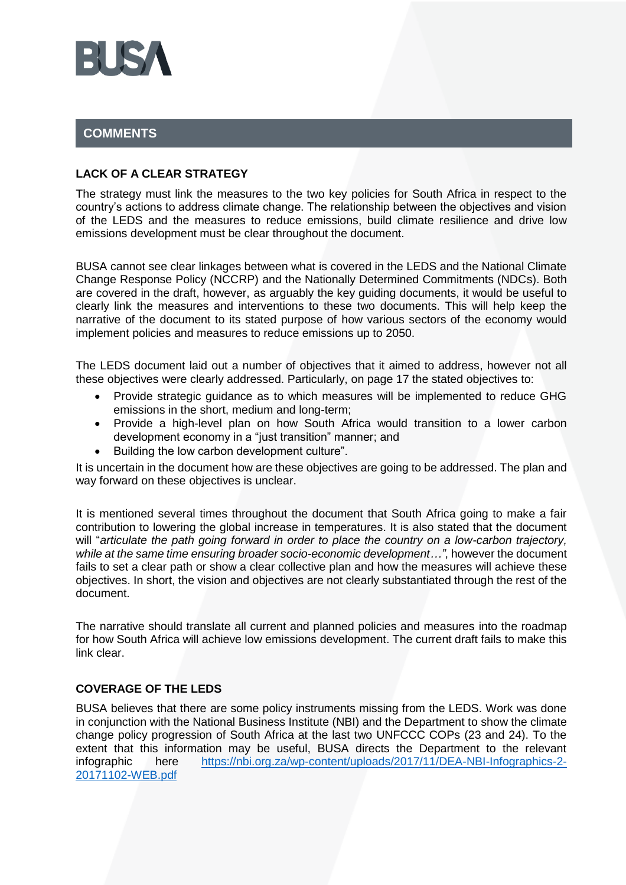

# **COMMENTS**

### **LACK OF A CLEAR STRATEGY**

The strategy must link the measures to the two key policies for South Africa in respect to the country's actions to address climate change. The relationship between the objectives and vision of the LEDS and the measures to reduce emissions, build climate resilience and drive low emissions development must be clear throughout the document.

BUSA cannot see clear linkages between what is covered in the LEDS and the National Climate Change Response Policy (NCCRP) and the Nationally Determined Commitments (NDCs). Both are covered in the draft, however, as arguably the key guiding documents, it would be useful to clearly link the measures and interventions to these two documents. This will help keep the narrative of the document to its stated purpose of how various sectors of the economy would implement policies and measures to reduce emissions up to 2050.

The LEDS document laid out a number of objectives that it aimed to address, however not all these objectives were clearly addressed. Particularly, on page 17 the stated objectives to:

- Provide strategic guidance as to which measures will be implemented to reduce GHG emissions in the short, medium and long-term;
- Provide a high-level plan on how South Africa would transition to a lower carbon development economy in a "just transition" manner; and
- Building the low carbon development culture".

It is uncertain in the document how are these objectives are going to be addressed. The plan and way forward on these objectives is unclear.

It is mentioned several times throughout the document that South Africa going to make a fair contribution to lowering the global increase in temperatures. It is also stated that the document will "*articulate the path going forward in order to place the country on a low-carbon trajectory, while at the same time ensuring broader socio-economic development…"*, however the document fails to set a clear path or show a clear collective plan and how the measures will achieve these objectives. In short, the vision and objectives are not clearly substantiated through the rest of the document.

The narrative should translate all current and planned policies and measures into the roadmap for how South Africa will achieve low emissions development. The current draft fails to make this link clear.

### **COVERAGE OF THE LEDS**

BUSA believes that there are some policy instruments missing from the LEDS. Work was done in conjunction with the National Business Institute (NBI) and the Department to show the climate change policy progression of South Africa at the last two UNFCCC COPs (23 and 24). To the extent that this information may be useful, BUSA directs the Department to the relevant infographic here [https://nbi.org.za/wp-content/uploads/2017/11/DEA-NBI-Infographics-2-](https://nbi.org.za/wp-content/uploads/2017/11/DEA-NBI-Infographics-2-20171102-WEB.pdf) [20171102-WEB.pdf](https://nbi.org.za/wp-content/uploads/2017/11/DEA-NBI-Infographics-2-20171102-WEB.pdf)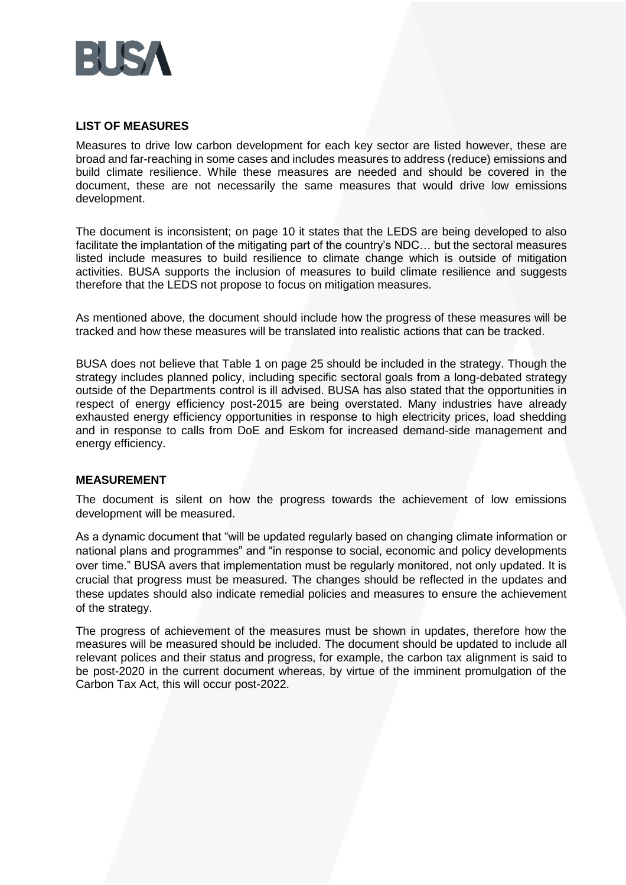

### **LIST OF MEASURES**

Measures to drive low carbon development for each key sector are listed however, these are broad and far-reaching in some cases and includes measures to address (reduce) emissions and build climate resilience. While these measures are needed and should be covered in the document, these are not necessarily the same measures that would drive low emissions development.

The document is inconsistent; on page 10 it states that the LEDS are being developed to also facilitate the implantation of the mitigating part of the country's NDC… but the sectoral measures listed include measures to build resilience to climate change which is outside of mitigation activities. BUSA supports the inclusion of measures to build climate resilience and suggests therefore that the LEDS not propose to focus on mitigation measures.

As mentioned above, the document should include how the progress of these measures will be tracked and how these measures will be translated into realistic actions that can be tracked.

BUSA does not believe that Table 1 on page 25 should be included in the strategy. Though the strategy includes planned policy, including specific sectoral goals from a long-debated strategy outside of the Departments control is ill advised. BUSA has also stated that the opportunities in respect of energy efficiency post-2015 are being overstated. Many industries have already exhausted energy efficiency opportunities in response to high electricity prices, load shedding and in response to calls from DoE and Eskom for increased demand-side management and energy efficiency.

### **MEASUREMENT**

The document is silent on how the progress towards the achievement of low emissions development will be measured.

As a dynamic document that "will be updated regularly based on changing climate information or national plans and programmes" and "in response to social, economic and policy developments over time." BUSA avers that implementation must be regularly monitored, not only updated. It is crucial that progress must be measured. The changes should be reflected in the updates and these updates should also indicate remedial policies and measures to ensure the achievement of the strategy.

The progress of achievement of the measures must be shown in updates, therefore how the measures will be measured should be included. The document should be updated to include all relevant polices and their status and progress, for example, the carbon tax alignment is said to be post-2020 in the current document whereas, by virtue of the imminent promulgation of the Carbon Tax Act, this will occur post-2022.